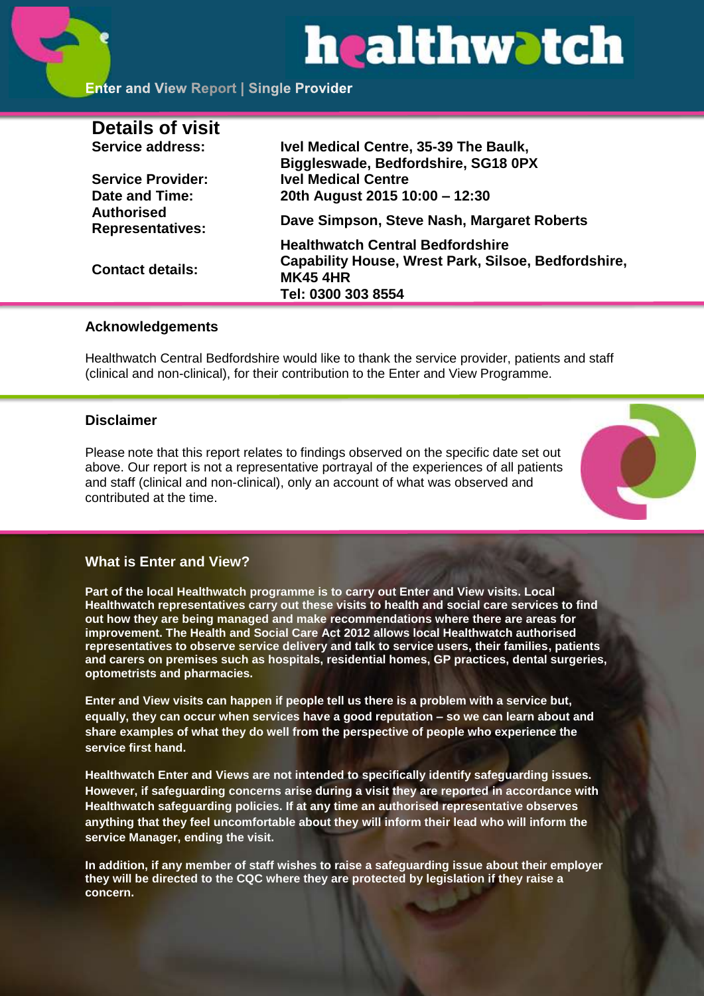# healthwatch

# **Enter and View Report | Single Provider**

| Ivel Medical Centre, 35-39 The Baulk,               |
|-----------------------------------------------------|
| Biggleswade, Bedfordshire, SG18 0PX                 |
| <b>Ivel Medical Centre</b>                          |
| 20th August 2015 10:00 - 12:30                      |
| Dave Simpson, Steve Nash, Margaret Roberts          |
| <b>Healthwatch Central Bedfordshire</b>             |
| Capability House, Wrest Park, Silsoe, Bedfordshire, |
| <b>MK45 4HR</b>                                     |
| Tel: 0300 303 8554                                  |
|                                                     |

#### **Acknowledgements**

Healthwatch Central Bedfordshire would like to thank the service provider, patients and staff (clinical and non-clinical), for their contribution to the Enter and View Programme.

#### **Disclaimer**

Please note that this report relates to findings observed on the specific date set out above. Our report is not a representative portrayal of the experiences of all patients and staff (clinical and non-clinical), only an account of what was observed and contributed at the time.



#### **What is Enter and View?**

**Part of the local Healthwatch programme is to carry out Enter and View visits. Local Healthwatch representatives carry out these visits to health and social care services to find out how they are being managed and make recommendations where there are areas for improvement. The Health and Social Care Act 2012 allows local Healthwatch authorised representatives to observe service delivery and talk to service users, their families, patients and carers on premises such as hospitals, residential homes, GP practices, dental surgeries, optometrists and pharmacies.** 

**Enter and View visits can happen if people tell us there is a problem with a service but, equally, they can occur when services have a good reputation – so we can learn about and share examples of what they do well from the perspective of people who experience the service first hand.**

**Healthwatch Enter and Views are not intended to specifically identify safeguarding issues. However, if safeguarding concerns arise during a visit they are reported in accordance with Healthwatch safeguarding policies. If at any time an authorised representative observes anything that they feel uncomfortable about they will inform their lead who will inform the service Manager, ending the visit.** 

**In addition, if any member of staff wishes to raise a safeguarding issue about their employer they will be directed to the CQC where they are protected by legislation if they raise a concern.**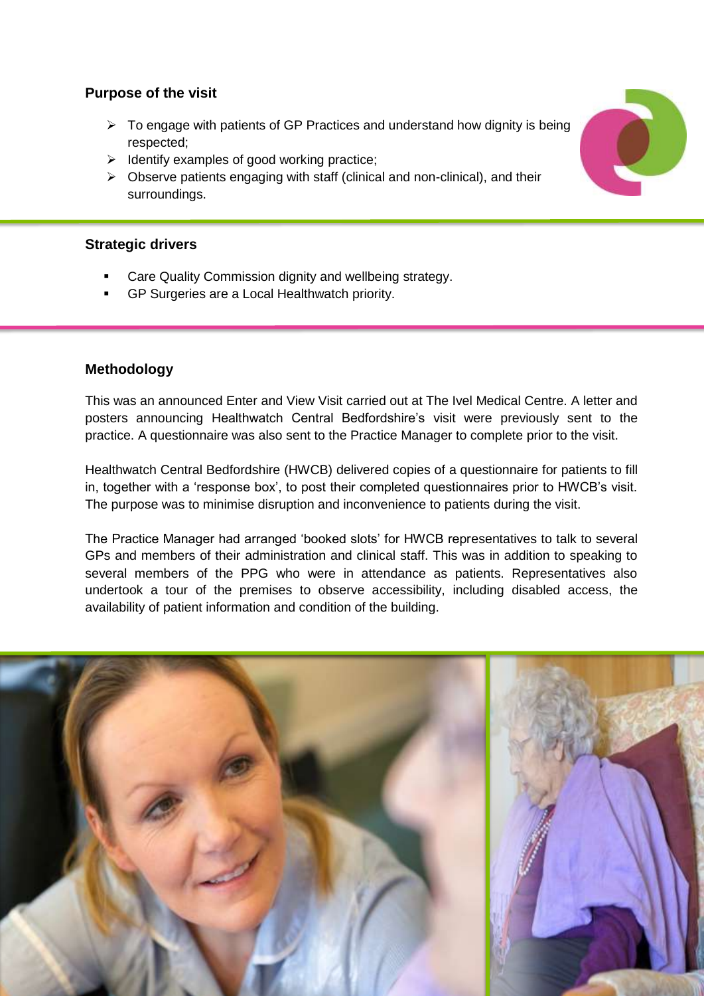# **Purpose of the visit**

- $\triangleright$  To engage with patients of GP Practices and understand how dignity is being respected;
- $\triangleright$  Identify examples of good working practice;
- $\triangleright$  Observe patients engaging with staff (clinical and non-clinical), and their surroundings.

# **Strategic drivers**

- Care Quality Commission dignity and wellbeing strategy.
- GP Surgeries are a Local Healthwatch priority.

# **Methodology**

This was an announced Enter and View Visit carried out at The Ivel Medical Centre. A letter and posters announcing Healthwatch Central Bedfordshire's visit were previously sent to the practice. A questionnaire was also sent to the Practice Manager to complete prior to the visit.

Healthwatch Central Bedfordshire (HWCB) delivered copies of a questionnaire for patients to fill in, together with a 'response box', to post their completed questionnaires prior to HWCB's visit. The purpose was to minimise disruption and inconvenience to patients during the visit.

The Practice Manager had arranged 'booked slots' for HWCB representatives to talk to several GPs and members of their administration and clinical staff. This was in addition to speaking to several members of the PPG who were in attendance as patients. Representatives also undertook a tour of the premises to observe accessibility, including disabled access, the availability of patient information and condition of the building.



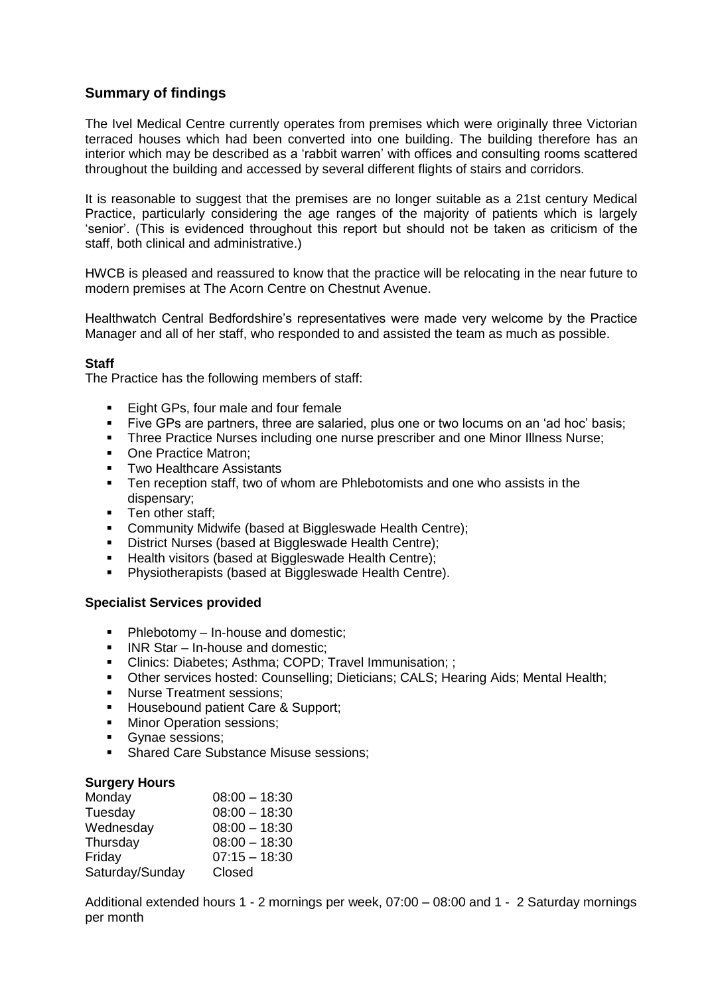# **Summary of findings**

The Ivel Medical Centre currently operates from premises which were originally three Victorian terraced houses which had been converted into one building. The building therefore has an interior which may be described as a 'rabbit warren' with offices and consulting rooms scattered throughout the building and accessed by several different flights of stairs and corridors.

It is reasonable to suggest that the premises are no longer suitable as a 21st century Medical Practice, particularly considering the age ranges of the majority of patients which is largely 'senior'. (This is evidenced throughout this report but should not be taken as criticism of the staff, both clinical and administrative.)

HWCB is pleased and reassured to know that the practice will be relocating in the near future to modern premises at The Acorn Centre on Chestnut Avenue.

Healthwatch Central Bedfordshire's representatives were made very welcome by the Practice Manager and all of her staff, who responded to and assisted the team as much as possible.

#### **Staff**

The Practice has the following members of staff:

- **Eight GPs, four male and four female**
- Five GPs are partners, three are salaried, plus one or two locums on an 'ad hoc' basis;
- **Three Practice Nurses including one nurse prescriber and one Minor Illness Nurse;**
- One Practice Matron:
- **Two Healthcare Assistants**
- **Ten reception staff, two of whom are Phlebotomists and one who assists in the** dispensary;
- Ten other staff;<br>Community Mic
- Community Midwife (based at Biggleswade Health Centre);
- District Nurses (based at Biggleswade Health Centre);
- Health visitors (based at Biggleswade Health Centre);
- **Physiotherapists (based at Biggleswade Health Centre).**

#### **Specialist Services provided**

- $\blacksquare$  Phlebotomy In-house and domestic:
- $\blacksquare$  INR Star In-house and domestic:
- Clinics: Diabetes; Asthma; COPD; Travel Immunisation; ;
- Other services hosted: Counselling; Dieticians; CALS; Hearing Aids; Mental Health;
- **Nurse Treatment sessions;**
- Housebound patient Care & Support;
- **Minor Operation sessions;**
- Gynae sessions;
- **Shared Care Substance Misuse sessions;**

#### **Surgery Hours**

| Monday          | $08:00 - 18:30$ |
|-----------------|-----------------|
| Tuesday         | $08:00 - 18:30$ |
| Wednesday       | $08:00 - 18:30$ |
| Thursday        | $08:00 - 18:30$ |
| Friday          | $07:15 - 18:30$ |
| Saturday/Sunday | Closed          |

Additional extended hours 1 - 2 mornings per week, 07:00 – 08:00 and 1 - 2 Saturday mornings per month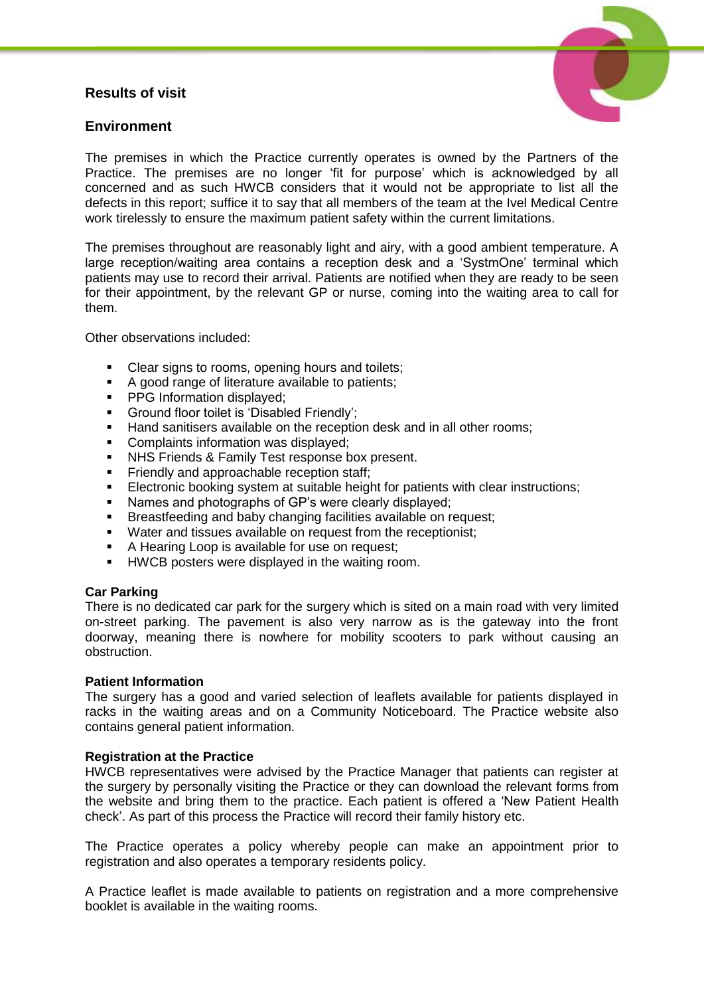# **Results of visit**



# **Environment**

The premises in which the Practice currently operates is owned by the Partners of the Practice. The premises are no longer 'fit for purpose' which is acknowledged by all concerned and as such HWCB considers that it would not be appropriate to list all the defects in this report; suffice it to say that all members of the team at the Ivel Medical Centre work tirelessly to ensure the maximum patient safety within the current limitations.

The premises throughout are reasonably light and airy, with a good ambient temperature. A large reception/waiting area contains a reception desk and a 'SystmOne' terminal which patients may use to record their arrival. Patients are notified when they are ready to be seen for their appointment, by the relevant GP or nurse, coming into the waiting area to call for them.

Other observations included:

- Clear signs to rooms, opening hours and toilets;
- A good range of literature available to patients:
- **PPG Information displayed;**
- Ground floor toilet is 'Disabled Friendly';
- **Hand sanitisers available on the reception desk and in all other rooms;**
- Complaints information was displayed;
- **NHS Friends & Family Test response box present.**
- Friendly and approachable reception staff;
- Electronic booking system at suitable height for patients with clear instructions;
- Names and photographs of GP's were clearly displayed;
- **Breastfeeding and baby changing facilities available on request:**
- Water and tissues available on request from the receptionist;
- A Hearing Loop is available for use on request;
- **HWCB** posters were displayed in the waiting room.

#### **Car Parking**

There is no dedicated car park for the surgery which is sited on a main road with very limited on-street parking. The pavement is also very narrow as is the gateway into the front doorway, meaning there is nowhere for mobility scooters to park without causing an obstruction.

#### **Patient Information**

The surgery has a good and varied selection of leaflets available for patients displayed in racks in the waiting areas and on a Community Noticeboard. The Practice website also contains general patient information.

#### **Registration at the Practice**

HWCB representatives were advised by the Practice Manager that patients can register at the surgery by personally visiting the Practice or they can download the relevant forms from the website and bring them to the practice. Each patient is offered a 'New Patient Health check'. As part of this process the Practice will record their family history etc.

The Practice operates a policy whereby people can make an appointment prior to registration and also operates a temporary residents policy.

A Practice leaflet is made available to patients on registration and a more comprehensive booklet is available in the waiting rooms.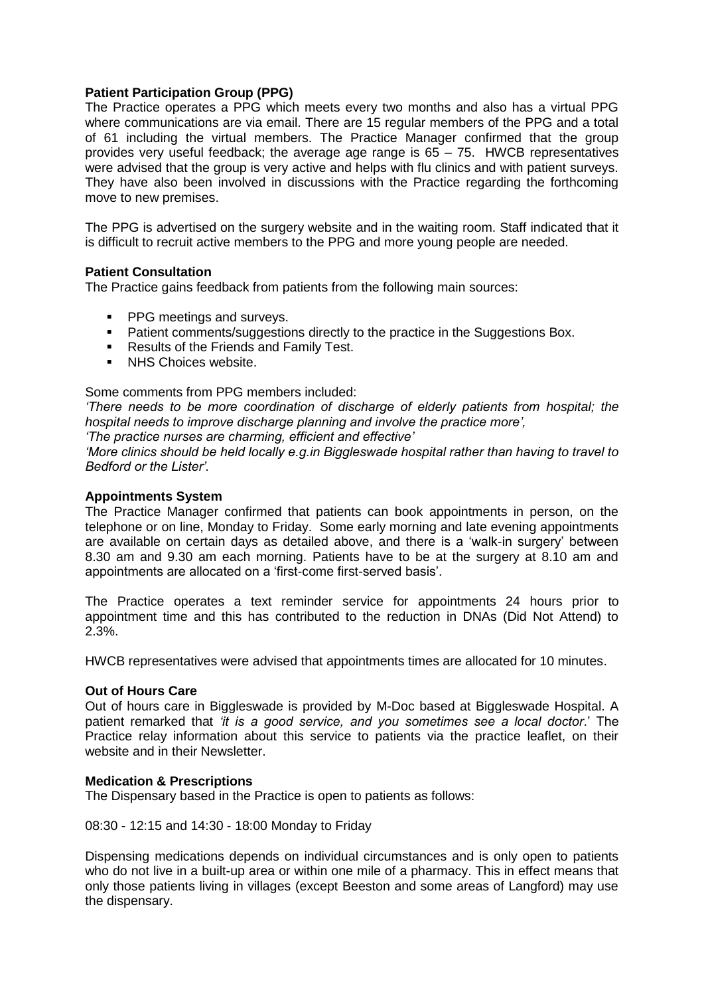#### **Patient Participation Group (PPG)**

The Practice operates a PPG which meets every two months and also has a virtual PPG where communications are via email. There are 15 regular members of the PPG and a total of 61 including the virtual members. The Practice Manager confirmed that the group provides very useful feedback; the average age range is 65 – 75. HWCB representatives were advised that the group is very active and helps with flu clinics and with patient surveys. They have also been involved in discussions with the Practice regarding the forthcoming move to new premises.

The PPG is advertised on the surgery website and in the waiting room. Staff indicated that it is difficult to recruit active members to the PPG and more young people are needed.

#### **Patient Consultation**

The Practice gains feedback from patients from the following main sources:

- **PPG meetings and surveys.**
- **Patient comments/suggestions directly to the practice in the Suggestions Box.**
- Results of the Friends and Family Test.
- **NHS Choices website.**

#### Some comments from PPG members included:

*'There needs to be more coordination of discharge of elderly patients from hospital; the hospital needs to improve discharge planning and involve the practice more',*

*'The practice nurses are charming, efficient and effective'* 

*'More clinics should be held locally e.g.in Biggleswade hospital rather than having to travel to Bedford or the Lister'.*

#### **Appointments System**

The Practice Manager confirmed that patients can book appointments in person, on the telephone or on line, Monday to Friday. Some early morning and late evening appointments are available on certain days as detailed above, and there is a 'walk-in surgery' between 8.30 am and 9.30 am each morning. Patients have to be at the surgery at 8.10 am and appointments are allocated on a 'first-come first-served basis'.

The Practice operates a text reminder service for appointments 24 hours prior to appointment time and this has contributed to the reduction in DNAs (Did Not Attend) to 2.3%.

HWCB representatives were advised that appointments times are allocated for 10 minutes.

#### **Out of Hours Care**

Out of hours care in Biggleswade is provided by M-Doc based at Biggleswade Hospital. A patient remarked that *'it is a good service, and you sometimes see a local doctor*.' The Practice relay information about this service to patients via the practice leaflet, on their website and in their Newsletter.

#### **Medication & Prescriptions**

The Dispensary based in the Practice is open to patients as follows:

08:30 - 12:15 and 14:30 - 18:00 Monday to Friday

Dispensing medications depends on individual circumstances and is only open to patients who do not live in a built-up area or within one mile of a pharmacy. This in effect means that only those patients living in villages (except Beeston and some areas of Langford) may use the dispensary.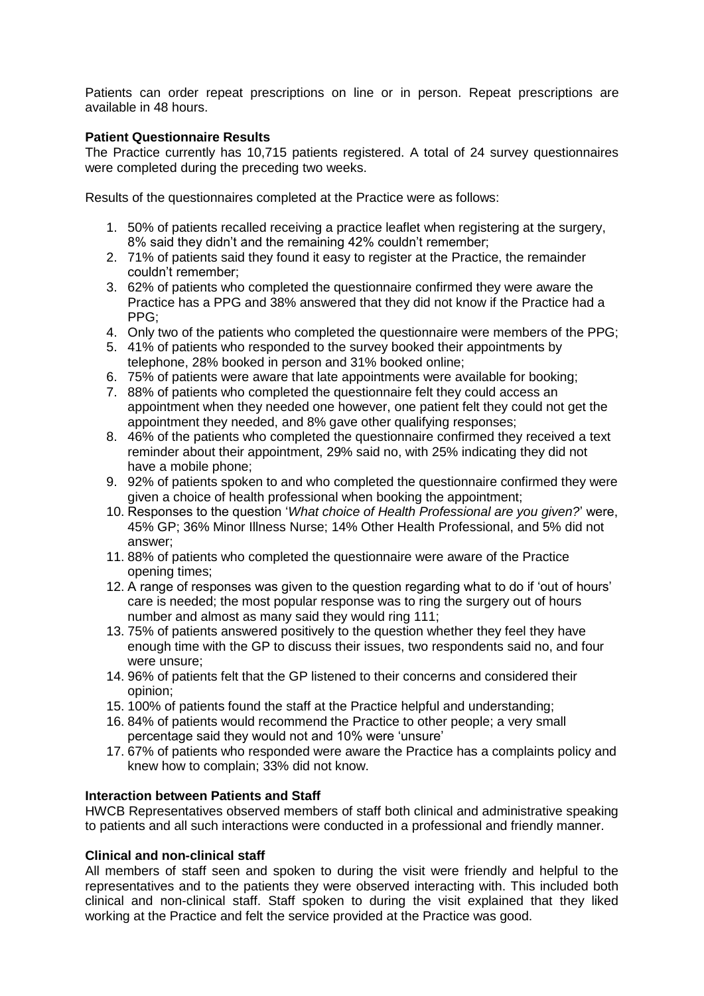Patients can order repeat prescriptions on line or in person. Repeat prescriptions are available in 48 hours.

#### **Patient Questionnaire Results**

The Practice currently has 10,715 patients registered. A total of 24 survey questionnaires were completed during the preceding two weeks.

Results of the questionnaires completed at the Practice were as follows:

- 1. 50% of patients recalled receiving a practice leaflet when registering at the surgery, 8% said they didn't and the remaining 42% couldn't remember;
- 2. 71% of patients said they found it easy to register at the Practice, the remainder couldn't remember;
- 3. 62% of patients who completed the questionnaire confirmed they were aware the Practice has a PPG and 38% answered that they did not know if the Practice had a PPG;
- 4. Only two of the patients who completed the questionnaire were members of the PPG;
- 5. 41% of patients who responded to the survey booked their appointments by telephone, 28% booked in person and 31% booked online;
- 6. 75% of patients were aware that late appointments were available for booking;
- 7. 88% of patients who completed the questionnaire felt they could access an appointment when they needed one however, one patient felt they could not get the appointment they needed, and 8% gave other qualifying responses;
- 8. 46% of the patients who completed the questionnaire confirmed they received a text reminder about their appointment, 29% said no, with 25% indicating they did not have a mobile phone;
- 9. 92% of patients spoken to and who completed the questionnaire confirmed they were given a choice of health professional when booking the appointment;
- 10. Responses to the question '*What choice of Health Professional are you given?*' were, 45% GP; 36% Minor Illness Nurse; 14% Other Health Professional, and 5% did not answer;
- 11. 88% of patients who completed the questionnaire were aware of the Practice opening times;
- 12. A range of responses was given to the question regarding what to do if 'out of hours' care is needed; the most popular response was to ring the surgery out of hours number and almost as many said they would ring 111;
- 13. 75% of patients answered positively to the question whether they feel they have enough time with the GP to discuss their issues, two respondents said no, and four were unsure;
- 14. 96% of patients felt that the GP listened to their concerns and considered their opinion;
- 15. 100% of patients found the staff at the Practice helpful and understanding;
- 16. 84% of patients would recommend the Practice to other people; a very small percentage said they would not and 10% were 'unsure'
- 17. 67% of patients who responded were aware the Practice has a complaints policy and knew how to complain; 33% did not know.

#### **Interaction between Patients and Staff**

HWCB Representatives observed members of staff both clinical and administrative speaking to patients and all such interactions were conducted in a professional and friendly manner.

### **Clinical and non-clinical staff**

All members of staff seen and spoken to during the visit were friendly and helpful to the representatives and to the patients they were observed interacting with. This included both clinical and non-clinical staff. Staff spoken to during the visit explained that they liked working at the Practice and felt the service provided at the Practice was good.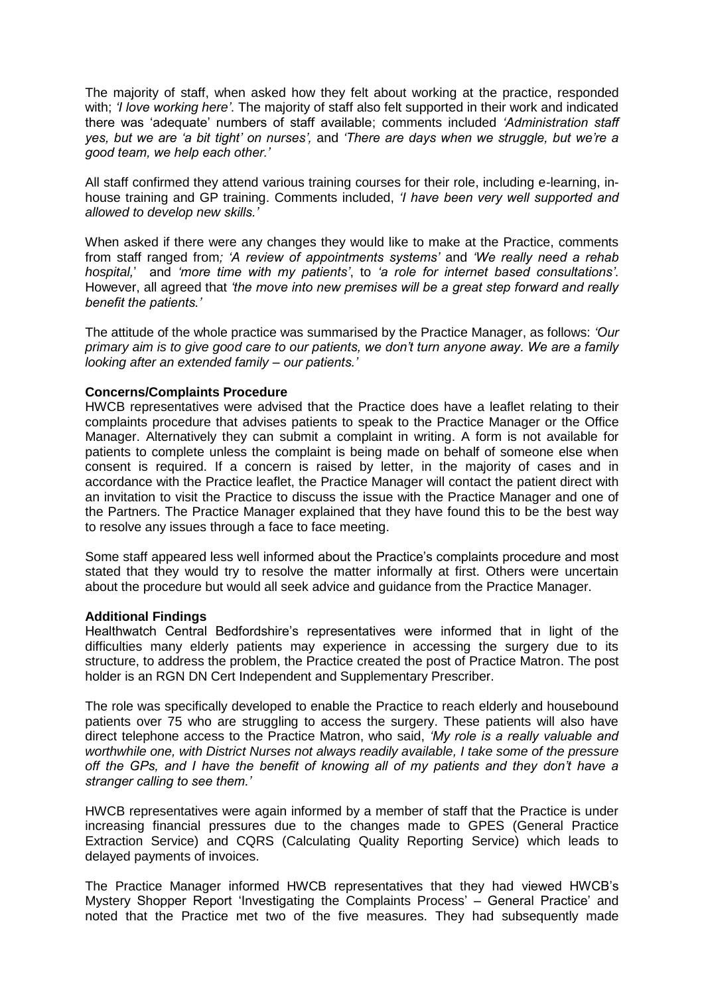The majority of staff, when asked how they felt about working at the practice, responded with; *'I love working here'*. The majority of staff also felt supported in their work and indicated there was 'adequate' numbers of staff available; comments included *'Administration staff yes, but we are 'a bit tight' on nurses',* and *'There are days when we struggle, but we're a good team, we help each other.'*

All staff confirmed they attend various training courses for their role, including e-learning, inhouse training and GP training. Comments included, *'I have been very well supported and allowed to develop new skills.'*

When asked if there were any changes they would like to make at the Practice, comments from staff ranged from*; 'A review of appointments systems'* and *'We really need a rehab hospital,*' and *'more time with my patients'*, to *'a role for internet based consultations'*. However, all agreed that *'the move into new premises will be a great step forward and really benefit the patients.'* 

The attitude of the whole practice was summarised by the Practice Manager, as follows: *'Our primary aim is to give good care to our patients, we don't turn anyone away. We are a family looking after an extended family – our patients.'*

#### **Concerns/Complaints Procedure**

HWCB representatives were advised that the Practice does have a leaflet relating to their complaints procedure that advises patients to speak to the Practice Manager or the Office Manager. Alternatively they can submit a complaint in writing. A form is not available for patients to complete unless the complaint is being made on behalf of someone else when consent is required. If a concern is raised by letter, in the majority of cases and in accordance with the Practice leaflet, the Practice Manager will contact the patient direct with an invitation to visit the Practice to discuss the issue with the Practice Manager and one of the Partners. The Practice Manager explained that they have found this to be the best way to resolve any issues through a face to face meeting.

Some staff appeared less well informed about the Practice's complaints procedure and most stated that they would try to resolve the matter informally at first. Others were uncertain about the procedure but would all seek advice and guidance from the Practice Manager.

#### **Additional Findings**

Healthwatch Central Bedfordshire's representatives were informed that in light of the difficulties many elderly patients may experience in accessing the surgery due to its structure, to address the problem, the Practice created the post of Practice Matron. The post holder is an RGN DN Cert Independent and Supplementary Prescriber.

The role was specifically developed to enable the Practice to reach elderly and housebound patients over 75 who are struggling to access the surgery. These patients will also have direct telephone access to the Practice Matron, who said, *'My role is a really valuable and worthwhile one, with District Nurses not always readily available, I take some of the pressure off the GPs, and I have the benefit of knowing all of my patients and they don't have a stranger calling to see them.'*

HWCB representatives were again informed by a member of staff that the Practice is under increasing financial pressures due to the changes made to GPES (General Practice Extraction Service) and CQRS (Calculating Quality Reporting Service) which leads to delayed payments of invoices.

The Practice Manager informed HWCB representatives that they had viewed HWCB's Mystery Shopper Report 'Investigating the Complaints Process' – General Practice' and noted that the Practice met two of the five measures. They had subsequently made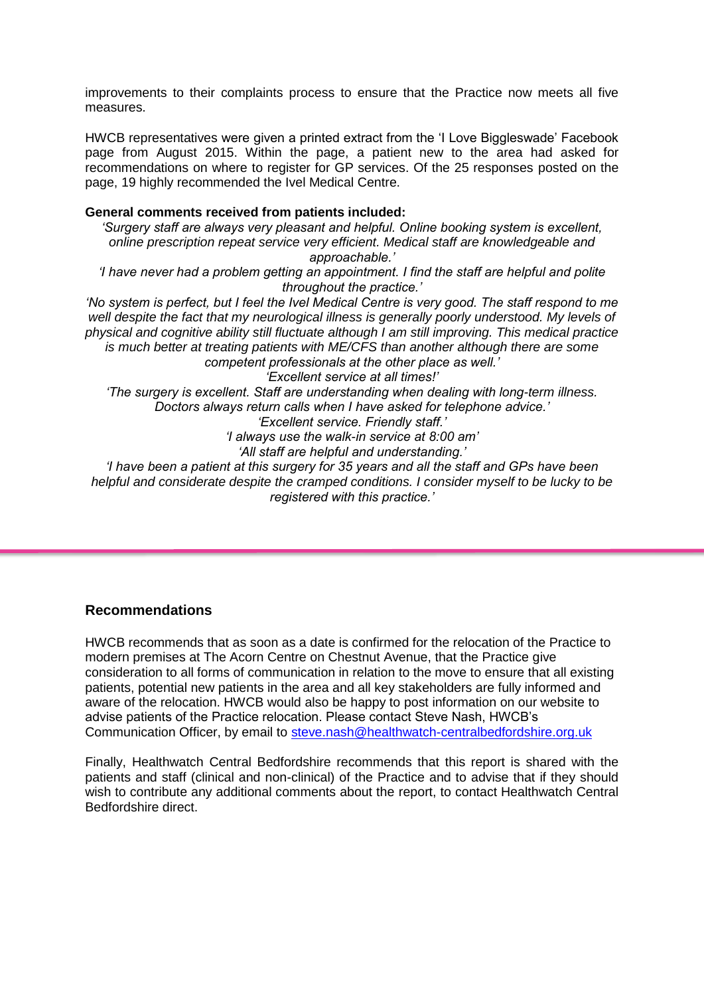improvements to their complaints process to ensure that the Practice now meets all five measures.

HWCB representatives were given a printed extract from the 'I Love Biggleswade' Facebook page from August 2015. Within the page, a patient new to the area had asked for recommendations on where to register for GP services. Of the 25 responses posted on the page, 19 highly recommended the Ivel Medical Centre.

#### **General comments received from patients included:**

*'Surgery staff are always very pleasant and helpful. Online booking system is excellent, online prescription repeat service very efficient. Medical staff are knowledgeable and approachable.'*

*'I have never had a problem getting an appointment. I find the staff are helpful and polite throughout the practice.'*

*'No system is perfect, but I feel the Ivel Medical Centre is very good. The staff respond to me well despite the fact that my neurological illness is generally poorly understood. My levels of physical and cognitive ability still fluctuate although I am still improving. This medical practice is much better at treating patients with ME/CFS than another although there are some* 

*competent professionals at the other place as well.' 'Excellent service at all times!'*

*'The surgery is excellent. Staff are understanding when dealing with long-term illness. Doctors always return calls when I have asked for telephone advice.'*

*'Excellent service. Friendly staff.'*

*'I always use the walk-in service at 8:00 am'*

*'All staff are helpful and understanding.'*

*'I have been a patient at this surgery for 35 years and all the staff and GPs have been helpful and considerate despite the cramped conditions. I consider myself to be lucky to be registered with this practice.'*

#### **Recommendations**

HWCB recommends that as soon as a date is confirmed for the relocation of the Practice to modern premises at The Acorn Centre on Chestnut Avenue, that the Practice give consideration to all forms of communication in relation to the move to ensure that all existing patients, potential new patients in the area and all key stakeholders are fully informed and aware of the relocation. HWCB would also be happy to post information on our website to advise patients of the Practice relocation. Please contact Steve Nash, HWCB's Communication Officer, by email to [steve.nash@healthwatch-centralbedfordshire.org.uk](mailto:steve.nash@healthwatch-centralbedfordshire.org.uk)

Finally, Healthwatch Central Bedfordshire recommends that this report is shared with the patients and staff (clinical and non-clinical) of the Practice and to advise that if they should wish to contribute any additional comments about the report, to contact Healthwatch Central Bedfordshire direct.